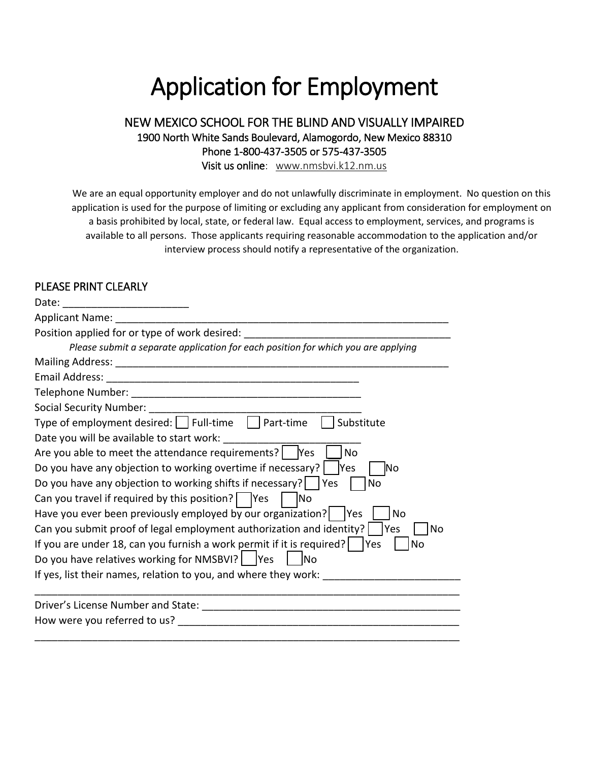# Application for Employment

#### NEW MEXICO SCHOOL FOR THE BLIND AND VISUALLY IMPAIRED 1900 North White Sands Boulevard, Alamogordo, New Mexico 88310 Phone 1-800-437-3505 or 575-437-3505 Visit us online: [www.nmsbvi.k12.nm.us](http://www.nmsbvi.k12.nm.us/)

We are an equal opportunity employer and do not unlawfully discriminate in employment. No question on this application is used for the purpose of limiting or excluding any applicant from consideration for employment on a basis prohibited by local, state, or federal law. Equal access to employment, services, and programs is available to all persons. Those applicants requiring reasonable accommodation to the application and/or interview process should notify a representative of the organization.

#### PLEASE PRINT CLEARLY

| Date:<br><u> 2001 - Januar Amerikaanse kommunister (</u>                                  |
|-------------------------------------------------------------------------------------------|
| Applicant Name:                                                                           |
| Position applied for or type of work desired:                                             |
| Please submit a separate application for each position for which you are applying         |
| <b>Mailing Address:</b>                                                                   |
| Email Address:                                                                            |
| Telephone Number:                                                                         |
| <b>Social Security Number:</b>                                                            |
| Type of employment desired: $\vert$ Full-time $\vert$ Part-time<br>Substitute             |
| Date you will be available to start work:                                                 |
| Are you able to meet the attendance requirements?   Yes<br><b>No</b>                      |
| Do you have any objection to working overtime if necessary?<br>lYes<br>INo                |
| Do you have any objection to working shifts if necessary?   Yes<br><b>No</b>              |
| Can you travel if required by this position? $\Box$ Yes<br>lNo                            |
| Have you ever been previously employed by our organization?<br><b>IYes</b><br>No          |
| Can you submit proof of legal employment authorization and identity?<br>Yes<br>No         |
| If you are under 18, can you furnish a work permit if it is required?   $\vert$ Yes<br>No |
| Do you have relatives working for NMSBVI?   Yes<br><b>INo</b>                             |
| If yes, list their names, relation to you, and where they work:                           |
| Driver's License Number and State:                                                        |
| How were you referred to us?                                                              |
|                                                                                           |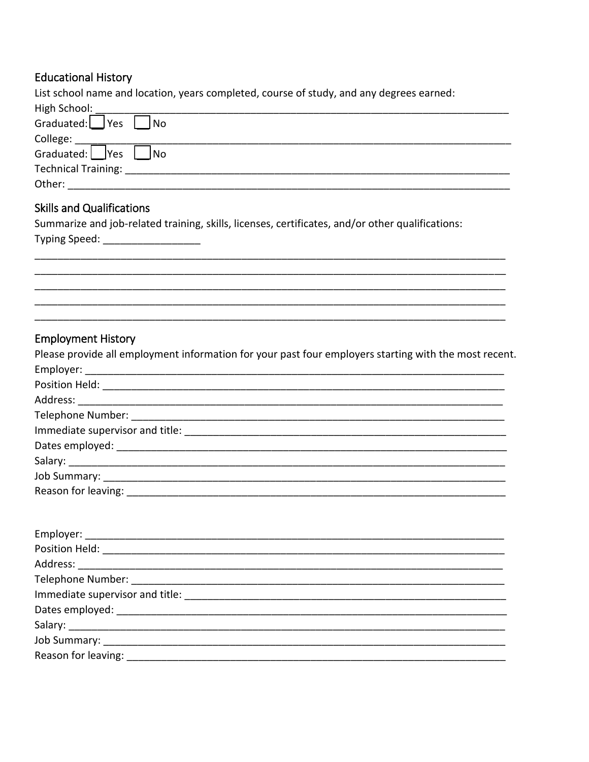## **Educational History**

| List school name and location, years completed, course of study, and any degrees earned:                             |
|----------------------------------------------------------------------------------------------------------------------|
| High School:                                                                                                         |
| Graduated:   Yes   No                                                                                                |
| College: _____                                                                                                       |
| Graduated:     Yes  <br>No                                                                                           |
|                                                                                                                      |
|                                                                                                                      |
| <b>Skills and Qualifications</b>                                                                                     |
| Summarize and job-related training, skills, licenses, certificates, and/or other qualifications:                     |
| Typing Speed: _____________________                                                                                  |
|                                                                                                                      |
|                                                                                                                      |
| <u> 1989 - Jan James James James James James James James James James James James James James James James James J</u> |
|                                                                                                                      |
|                                                                                                                      |
|                                                                                                                      |
| <b>Employment History</b>                                                                                            |
| Please provide all employment information for your past four employers starting with the most recent.                |
|                                                                                                                      |
|                                                                                                                      |
|                                                                                                                      |
|                                                                                                                      |
|                                                                                                                      |
|                                                                                                                      |
|                                                                                                                      |
|                                                                                                                      |
|                                                                                                                      |
|                                                                                                                      |
|                                                                                                                      |
|                                                                                                                      |
|                                                                                                                      |
|                                                                                                                      |
|                                                                                                                      |
|                                                                                                                      |
|                                                                                                                      |
|                                                                                                                      |
|                                                                                                                      |
|                                                                                                                      |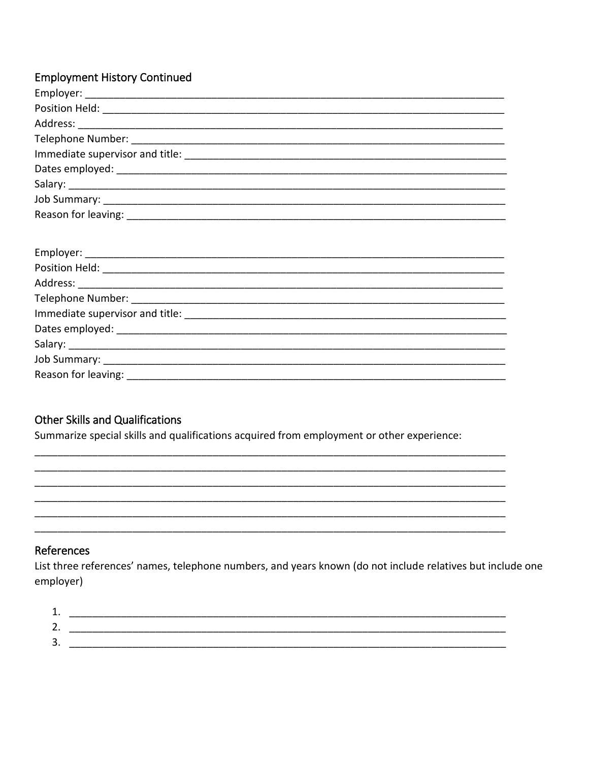### **Employment History Continued**

### **Other Skills and Qualifications**

Summarize special skills and qualifications acquired from employment or other experience:

#### References

List three references' names, telephone numbers, and years known (do not include relatives but include one employer)

| ັ | ________________ |
|---|------------------|